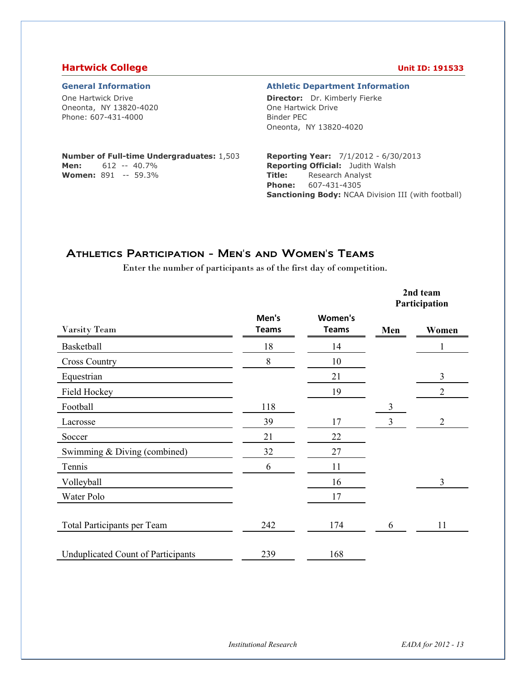#### **Hartwick College Unit ID: 191533**

One Hartwick Drive Oneonta, NY 13820-4020 Phone: 607-431-4000

#### **General Information Athletic Department Information**

**Director:** Dr. Kimberly Fierke One Hartwick Drive Binder PEC Oneonta, NY 13820-4020

#### **Number of Full-time Undergraduates:** 1,503 **Men:** 612 -- 40.7% **Women:** 891 -- 59.3%

**Reporting Year:** 7/1/2012 - 6/30/2013 **Reporting Official:** Judith Walsh **Title:** Research Analyst **Phone:** 607-431-4305 **Sanctioning Body:** NCAA Division III (with football)

## Athletics Participation - Men's and Women's Teams

Enter the number of participants as of the first day of competition.

|                                           |                       |                         |     | 2nd team<br>Participation |
|-------------------------------------------|-----------------------|-------------------------|-----|---------------------------|
| Varsity Team                              | Men's<br><b>Teams</b> | Women's<br><b>Teams</b> | Men | Women                     |
| Basketball                                | 18                    | 14                      |     |                           |
| <b>Cross Country</b>                      | 8                     | 10                      |     |                           |
| Equestrian                                |                       | 21                      |     | 3                         |
| Field Hockey                              |                       | 19                      |     | $\overline{2}$            |
| Football                                  | 118                   |                         | 3   |                           |
| Lacrosse                                  | 39                    | 17                      | 3   | $\overline{2}$            |
| Soccer                                    | 21                    | 22                      |     |                           |
| Swimming & Diving (combined)              | 32                    | 27                      |     |                           |
| Tennis                                    | 6                     | 11                      |     |                           |
| Volleyball                                |                       | 16                      |     | 3                         |
| Water Polo                                |                       | 17                      |     |                           |
| Total Participants per Team               | 242                   | 174                     | 6   | 11                        |
| <b>Unduplicated Count of Participants</b> | 239                   | 168                     |     |                           |

*Institutional Research EADA for 2012 - 13*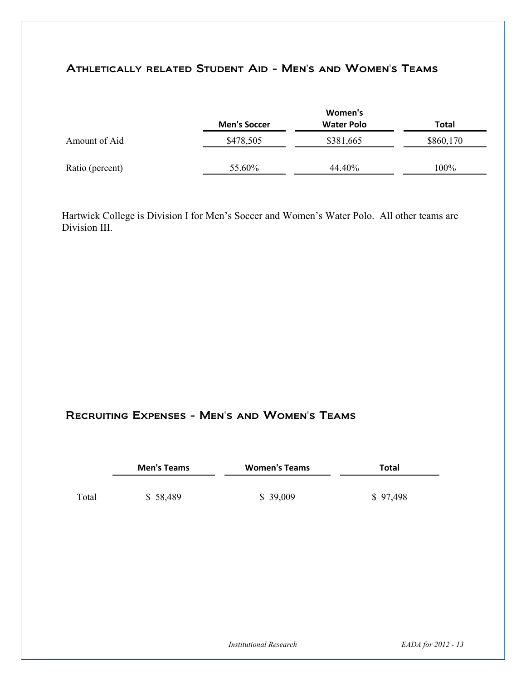# Athletically related Student Aid - Men's and Women's Teams

|                 |                     | Women's           |           |
|-----------------|---------------------|-------------------|-----------|
|                 | <b>Men's Soccer</b> | <b>Water Polo</b> | Total     |
| Amount of Aid   | \$478,505           | \$381,665         | \$860,170 |
| Ratio (percent) | 55.60%              | 44.40%            | 100%      |

Hartwick College is Division I for Men's Soccer and Women's Water Polo. All other teams are Division III.

## Recruiting Expenses - Men's and Women's Teams

|       | <b>Men's Teams</b> | <b>Women's Teams</b> | Total    |  |
|-------|--------------------|----------------------|----------|--|
|       |                    |                      |          |  |
| Total | \$58,489           | \$39,009             | \$97,498 |  |

*Institutional Research EADA for 2012 - 13*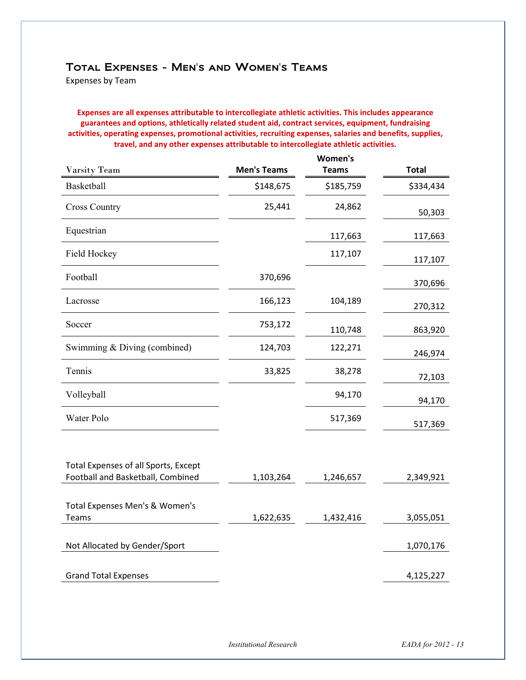### Total Expenses - Men's and Women's Teams

Expenses by Team

**Expenses are all expenses attributable to intercollegiate athletic activities. This includes appearance guarantees and options, athletically related student aid, contract services, equipment, fundraising activities, operating expenses, promotional activities, recruiting expenses, salaries and benefits, supplies, travel, and any other expenses attributable to intercollegiate athletic activities.** 

|                                                                           |                    | Women's      |              |
|---------------------------------------------------------------------------|--------------------|--------------|--------------|
| <b>Varsity Team</b>                                                       | <b>Men's Teams</b> | <b>Teams</b> | <b>Total</b> |
| Basketball                                                                | \$148,675          | \$185,759    | \$334,434    |
| <b>Cross Country</b>                                                      | 25,441             | 24,862       | 50,303       |
| Equestrian                                                                |                    | 117,663      | 117,663      |
| Field Hockey                                                              |                    | 117,107      | 117,107      |
| Football                                                                  | 370,696            |              | 370,696      |
| Lacrosse                                                                  | 166,123            | 104,189      | 270,312      |
| Soccer                                                                    | 753,172            | 110,748      | 863,920      |
| Swimming & Diving (combined)                                              | 124,703            | 122,271      | 246,974      |
| Tennis                                                                    | 33,825             | 38,278       | 72,103       |
| Volleyball                                                                |                    | 94,170       | 94,170       |
| Water Polo                                                                |                    | 517,369      | 517,369      |
| Total Expenses of all Sports, Except<br>Football and Basketball, Combined | 1,103,264          | 1,246,657    | 2,349,921    |
|                                                                           |                    |              |              |
| Total Expenses Men's & Women's<br>Teams                                   | 1,622,635          | 1,432,416    | 3,055,051    |
| Not Allocated by Gender/Sport                                             |                    |              | 1,070,176    |
| <b>Grand Total Expenses</b>                                               |                    |              | 4,125,227    |

*Institutional Research EADA for 2012 - 13*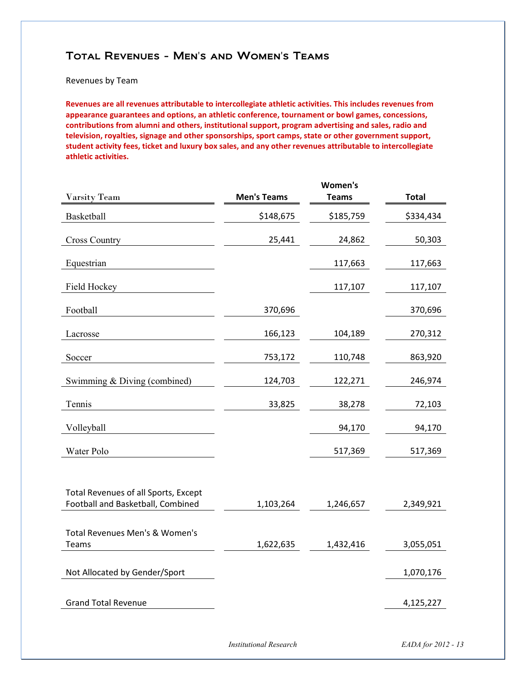### Total Revenues - Men's and Women's Teams

Revenues by Team

**Revenues are all revenues attributable to intercollegiate athletic activities. This includes revenues from appearance guarantees and options, an athletic conference, tournament or bowl games, concessions, contributions from alumni and others, institutional support, program advertising and sales, radio and television, royalties, signage and other sponsorships, sport camps, state or other government support, student activity fees, ticket and luxury box sales, and any other revenues attributable to intercollegiate athletic activities.** 

|                                      |                    | Women's      |              |
|--------------------------------------|--------------------|--------------|--------------|
| Varsity Team                         | <b>Men's Teams</b> | <b>Teams</b> | <b>Total</b> |
| Basketball                           | \$148,675          | \$185,759    | \$334,434    |
| <b>Cross Country</b>                 | 25,441             | 24,862       | 50,303       |
| Equestrian                           |                    | 117,663      | 117,663      |
| Field Hockey                         |                    | 117,107      | 117,107      |
| Football                             | 370,696            |              | 370,696      |
| Lacrosse                             | 166,123            | 104,189      | 270,312      |
| Soccer                               | 753,172            | 110,748      | 863,920      |
| Swimming & Diving (combined)         | 124,703            | 122,271      | 246,974      |
| Tennis                               | 33,825             | 38,278       | 72,103       |
| Volleyball                           |                    | 94,170       | 94,170       |
| Water Polo                           |                    | 517,369      | 517,369      |
|                                      |                    |              |              |
| Total Revenues of all Sports, Except |                    |              |              |
| Football and Basketball, Combined    | 1,103,264          | 1,246,657    | 2,349,921    |
|                                      |                    |              |              |
| Total Revenues Men's & Women's       |                    |              |              |
| <b>Teams</b>                         | 1,622,635          | 1,432,416    | 3,055,051    |
| Not Allocated by Gender/Sport        |                    |              | 1,070,176    |
|                                      |                    |              |              |
| <b>Grand Total Revenue</b>           |                    |              | 4,125,227    |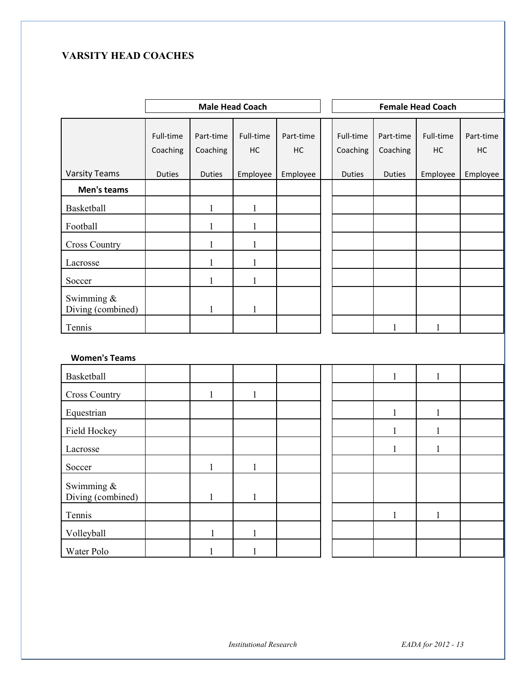## **VARSITY HEAD COACHES**

|                                 | <b>Male Head Coach</b> |                       |                 |                 |  |                       |                       | <b>Female Head Coach</b> |                 |
|---------------------------------|------------------------|-----------------------|-----------------|-----------------|--|-----------------------|-----------------------|--------------------------|-----------------|
|                                 | Full-time<br>Coaching  | Part-time<br>Coaching | Full-time<br>HC | Part-time<br>HC |  | Full-time<br>Coaching | Part-time<br>Coaching | Full-time<br>HC          | Part-time<br>HC |
| <b>Varsity Teams</b>            | <b>Duties</b>          | <b>Duties</b>         | Employee        | Employee        |  | <b>Duties</b>         | <b>Duties</b>         | Employee                 | Employee        |
| Men's teams                     |                        |                       |                 |                 |  |                       |                       |                          |                 |
| Basketball                      |                        | $\mathbf{1}$          | $\mathbf{1}$    |                 |  |                       |                       |                          |                 |
| Football                        |                        | $\mathbf{1}$          | $\mathbf{1}$    |                 |  |                       |                       |                          |                 |
| <b>Cross Country</b>            |                        | $\mathbf{1}$          | $\mathbf{1}$    |                 |  |                       |                       |                          |                 |
| Lacrosse                        |                        | 1                     | $\mathbf{1}$    |                 |  |                       |                       |                          |                 |
| Soccer                          |                        | 1                     | 1               |                 |  |                       |                       |                          |                 |
| Swimming &<br>Diving (combined) |                        | $\mathbf{1}$          | $\mathbf{1}$    |                 |  |                       |                       |                          |                 |
| Tennis                          |                        |                       |                 |                 |  |                       | $\mathbf{1}$          | $\mathbf{1}$             |                 |
| <b>Women's Teams</b>            |                        |                       |                 |                 |  |                       |                       |                          |                 |
| Basketball                      |                        |                       |                 |                 |  |                       | $\mathbf{1}$          | $\mathbf{1}$             |                 |
| <b>Cross Country</b>            |                        | $\mathbf{1}$          | $\mathbf{1}$    |                 |  |                       |                       |                          |                 |
| Equestrian                      |                        |                       |                 |                 |  |                       | $\mathbf{1}$          | $\mathbf{1}$             |                 |
| Field Hockey                    |                        |                       |                 |                 |  |                       | $\mathbf{1}$          | $\mathbf{1}$             |                 |
| Lacrosse                        |                        |                       |                 |                 |  |                       | $\mathbf{1}$          | $\mathbf{1}$             |                 |
| Soccer                          |                        | $\mathbf{1}$          | $\mathbf{1}$    |                 |  |                       |                       |                          |                 |
| Swimming &<br>Diving (combined) |                        | $\mathbf{1}$          | $\mathbf{1}$    |                 |  |                       |                       |                          |                 |
| Tennis                          |                        |                       |                 |                 |  |                       | $\mathbf{1}$          | $\mathbf{1}$             |                 |
| Volleyball                      |                        | $\mathbf{1}$          | $\mathbf{1}$    |                 |  |                       |                       |                          |                 |
| Water Polo                      |                        | $\mathbf{1}$          | $\mathbf{1}$    |                 |  |                       |                       |                          |                 |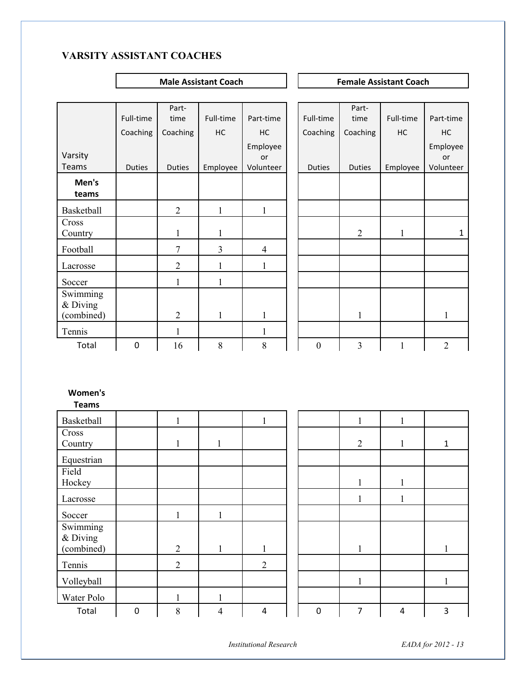## **VARSITY ASSISTANT COACHES**

**Male Assistant Coach Coach Female Assistant Coach Coach Remale Assistant Coach** 

|            |               | Part-          |              |                |                  | Part-          |           |                |
|------------|---------------|----------------|--------------|----------------|------------------|----------------|-----------|----------------|
|            | Full-time     | time           | Full-time    | Part-time      | Full-time        | time           | Full-time | Part-time      |
|            | Coaching      | Coaching       | HC           | HC             | Coaching         | Coaching       | HC        | HC             |
|            |               |                |              | Employee       |                  |                |           | Employee       |
| Varsity    |               |                |              | or             |                  |                |           | or             |
| Teams      | <b>Duties</b> | <b>Duties</b>  | Employee     | Volunteer      | <b>Duties</b>    | <b>Duties</b>  | Employee  | Volunteer      |
| Men's      |               |                |              |                |                  |                |           |                |
| teams      |               |                |              |                |                  |                |           |                |
| Basketball |               | $\overline{2}$ | $\mathbf{1}$ | $\mathbf{1}$   |                  |                |           |                |
| Cross      |               |                |              |                |                  |                |           |                |
| Country    |               |                |              |                |                  | $\overline{2}$ | 1         | $\mathbf{1}$   |
| Football   |               | 7              | 3            | $\overline{4}$ |                  |                |           |                |
| Lacrosse   |               | $\overline{2}$ | 1            | $\mathbf{1}$   |                  |                |           |                |
| Soccer     |               | $\mathbf{1}$   | $\mathbf{1}$ |                |                  |                |           |                |
| Swimming   |               |                |              |                |                  |                |           |                |
| & Diving   |               |                |              |                |                  |                |           |                |
| (combined) |               | $\overline{2}$ | 1            | 1              |                  | $\mathbf{1}$   |           | 1              |
| Tennis     |               | 1              |              | $\mathbf{1}$   |                  |                |           |                |
| Total      | $\pmb{0}$     | 16             | 8            | 8              | $\boldsymbol{0}$ | $\overline{3}$ | 1         | $\overline{2}$ |
|            |               |                |              |                |                  |                |           |                |

#### **Women's**

**Teams** 

| Basketball                           |                  |                |                |                |                  | 1            | 1            |              |
|--------------------------------------|------------------|----------------|----------------|----------------|------------------|--------------|--------------|--------------|
| Cross<br>Country                     |                  |                |                |                |                  | 2            | $\mathbf{1}$ | $\mathbf{1}$ |
| Equestrian                           |                  |                |                |                |                  |              |              |              |
| Field<br>Hockey                      |                  |                |                |                |                  |              |              |              |
| Lacrosse                             |                  |                |                |                |                  | л.           | 1            |              |
| Soccer                               |                  | $\mathbf{1}$   | $\mathbf{1}$   |                |                  |              |              |              |
| Swimming<br>$&$ Diving<br>(combined) |                  | $\overline{2}$ | 1              | $\mathbf{1}$   |                  | 1            |              | 1            |
| Tennis                               |                  | $\overline{2}$ |                | $\overline{2}$ |                  |              |              |              |
| Volleyball                           |                  |                |                |                |                  | $\mathbf{1}$ |              | 1            |
| Water Polo                           |                  |                |                |                |                  |              |              |              |
| Total                                | $\boldsymbol{0}$ | 8              | $\overline{4}$ | 4              | $\boldsymbol{0}$ | 7            | 4            | 3            |